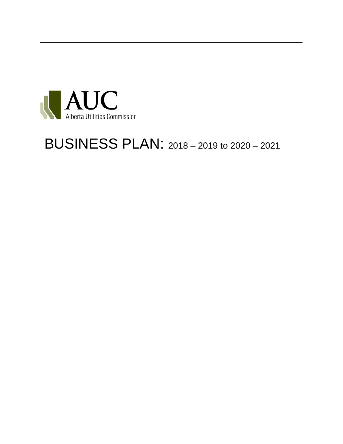

## BUSINESS PLAN: 2018 – <sup>2019</sup> to 2020 – <sup>2021</sup>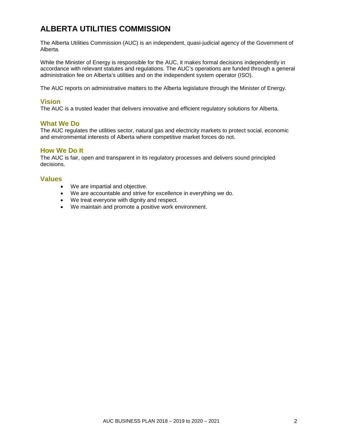### **ALBERTA UTILITIES COMMISSION**

The Alberta Utilities Commission (AUC) is an independent, quasi-judicial agency of the Government of Alberta.

While the Minister of Energy is responsible for the AUC, it makes formal decisions independently in accordance with relevant statutes and regulations. The AUC's operations are funded through a general administration fee on Alberta's utilities and on the independent system operator (ISO).

The AUC reports on administrative matters to the Alberta legislature through the Minister of Energy.

#### **Vision**

The AUC is a trusted leader that delivers innovative and efficient regulatory solutions for Alberta.

#### **What We Do**

The AUC regulates the utilities sector, natural gas and electricity markets to protect social, economic and environmental interests of Alberta where competitive market forces do not.

#### **How We Do It**

The AUC is fair, open and transparent in its regulatory processes and delivers sound principled decisions.

#### **Values**

- We are impartial and objective.
- We are accountable and strive for excellence in everything we do.
- We treat everyone with dignity and respect.
- We maintain and promote a positive work environment.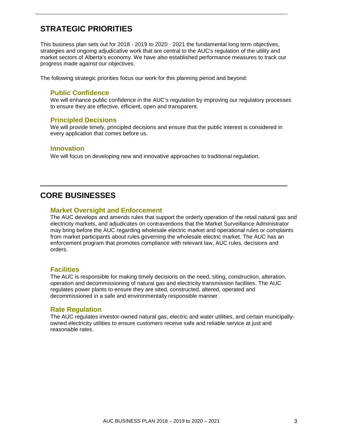### **STRATEGIC PRIORITIES**

This business plan sets out for 2018 - 2019 to 2020 - 2021 the fundamental long term objectives, strategies and ongoing adjudicative work that are central to the AUC's regulation of the utility and market sectors of Alberta's economy. We have also established performance measures to track our progress made against our objectives.

The following strategic priorities focus our work for this planning period and beyond:

#### **Public Confidence**

We will enhance public confidence in the AUC's regulation by improving our regulatory processes to ensure they are effective, efficient, open and transparent.

#### **Principled Decisions**

We will provide timely, principled decisions and ensure that the public interest is considered in every application that comes before us.

#### **Innovation**

We will focus on developing new and innovative approaches to traditional regulation.

### **CORE BUSINESSES**

#### **Market Oversight and Enforcement**

The AUC develops and amends rules that support the orderly operation of the retail natural gas and electricity markets, and adjudicates on contraventions that the Market Surveillance Administrator may bring before the AUC regarding wholesale electric market and operational rules or complaints from market participants about rules governing the wholesale electric market. The AUC has an enforcement program that promotes compliance with relevant law, AUC rules, decisions and orders.

#### **Facilities**

The AUC is responsible for making timely decisions on the need, siting, construction, alteration, operation and decommissioning of natural gas and electricity transmission facilities. The AUC regulates power plants to ensure they are sited, constructed, altered, operated and decommissioned in a safe and environmentally responsible manner.

#### **Rate Regulation**

The AUC regulates investor-owned natural gas, electric and water utilities, and certain municipallyowned electricity utilities to ensure customers receive safe and reliable service at just and reasonable rates.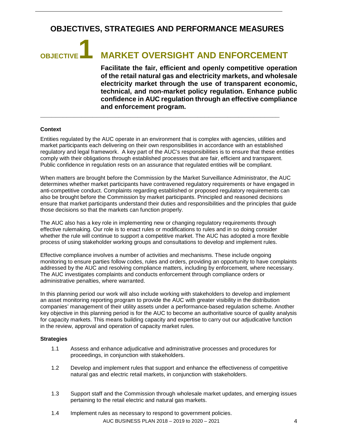### **OBJECTIVES, STRATEGIES AND PERFORMANCE MEASURES**

# **OBJECTIVE1 MARKET OVERSIGHT AND ENFORCEMENT**

**Facilitate the fair, efficient and openly competitive operation of the retail natural gas and electricity markets, and wholesale electricity market through the use of transparent economic, technical, and non-market policy regulation. Enhance public confidence in AUC regulation through an effective compliance and enforcement program.**

#### **Context**

Entities regulated by the AUC operate in an environment that is complex with agencies, utilities and market participants each delivering on their own responsibilities in accordance with an established regulatory and legal framework. A key part of the AUC's responsibilities is to ensure that these entities comply with their obligations through established processes that are fair, efficient and transparent. Public confidence in regulation rests on an assurance that regulated entities will be compliant.

**\_\_\_\_\_\_\_\_\_\_\_\_\_\_\_\_\_\_\_\_\_\_\_\_\_\_\_\_\_\_\_\_\_\_\_\_\_\_\_\_\_\_\_\_\_\_\_\_\_\_\_\_\_\_\_\_\_\_\_\_\_\_\_\_**

When matters are brought before the Commission by the Market Surveillance Administrator, the AUC determines whether market participants have contravened regulatory requirements or have engaged in anti-competitive conduct. Complaints regarding established or proposed regulatory requirements can also be brought before the Commission by market participants. Principled and reasoned decisions ensure that market participants understand their duties and responsibilities and the principles that guide those decisions so that the markets can function properly.

The AUC also has a key role in implementing new or changing regulatory requirements through effective rulemaking. Our role is to enact rules or modifications to rules and in so doing consider whether the rule will continue to support a competitive market. The AUC has adopted a more flexible process of using stakeholder working groups and consultations to develop and implement rules.

Effective compliance involves a number of activities and mechanisms. These include ongoing monitoring to ensure parties follow codes, rules and orders, providing an opportunity to have complaints addressed by the AUC and resolving compliance matters, including by enforcement, where necessary. The AUC investigates complaints and conducts enforcement through compliance orders or administrative penalties, where warranted.

In this planning period our work will also include working with stakeholders to develop and implement an asset monitoring reporting program to provide the AUC with greater visibility in the distribution companies' management of their utility assets under a performance-based regulation scheme. Another key objective in this planning period is for the AUC to become an authoritative source of quality analysis for capacity markets. This means building capacity and expertise to carry out our adjudicative function in the review, approval and operation of capacity market rules.

#### **Strategies**

- 1.1 Assess and enhance adjudicative and administrative processes and procedures for proceedings, in conjunction with stakeholders.
- 1.2 Develop and implement rules that support and enhance the effectiveness of competitive natural gas and electric retail markets, in conjunction with stakeholders.
- 1.3 Support staff and the Commission through wholesale market updates, and emerging issues pertaining to the retail electric and natural gas markets.
- AUC BUSINESS PLAN 2018 2019 to 2020 2021 4 1.4 Implement rules as necessary to respond to government policies.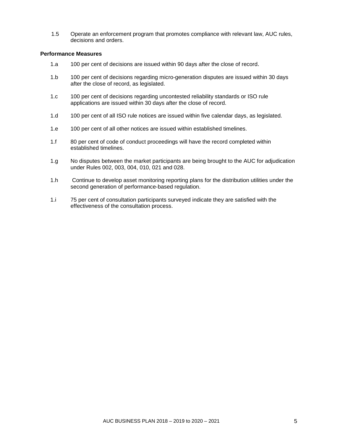1.5 Operate an enforcement program that promotes compliance with relevant law, AUC rules, decisions and orders.

- 1.a 100 per cent of decisions are issued within 90 days after the close of record.
- 1.b 100 per cent of decisions regarding micro-generation disputes are issued within 30 days after the close of record, as legislated.
- 1.c 100 per cent of decisions regarding uncontested reliability standards or ISO rule applications are issued within 30 days after the close of record.
- 1.d 100 per cent of all ISO rule notices are issued within five calendar days, as legislated.
- 1.e 100 per cent of all other notices are issued within established timelines.
- 1.f 80 per cent of code of conduct proceedings will have the record completed within established timelines.
- 1.g No disputes between the market participants are being brought to the AUC for adjudication under Rules 002, 003, 004, 010, 021 and 028.
- 1.h Continue to develop asset monitoring reporting plans for the distribution utilities under the second generation of performance-based regulation.
- 1.i 75 per cent of consultation participants surveyed indicate they are satisfied with the effectiveness of the consultation process.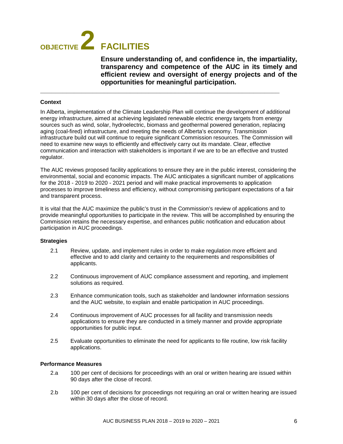## **OBJECTIVE 2 FACILITIES**

**Ensure understanding of, and confidence in, the impartiality, transparency and competence of the AUC in its timely and efficient review and oversight of energy projects and of the opportunities for meaningful participation.**

#### **Context**

In Alberta, implementation of the Climate Leadership Plan will continue the development of additional energy infrastructure, aimed at achieving legislated renewable electric energy targets from energy sources such as wind, solar, hydroelectric, biomass and geothermal powered generation, replacing aging (coal-fired) infrastructure, and meeting the needs of Alberta's economy. Transmission infrastructure build out will continue to require significant Commission resources. The Commission will need to examine new ways to efficiently and effectively carry out its mandate. Clear, effective communication and interaction with stakeholders is important if we are to be an effective and trusted regulator.

**\_\_\_\_\_\_\_\_\_\_\_\_\_\_\_\_\_\_\_\_\_\_\_\_\_\_\_\_\_\_\_\_\_\_\_\_\_\_\_\_\_\_\_\_\_\_\_\_\_\_\_\_\_\_\_\_\_\_\_\_\_\_\_\_**

The AUC reviews proposed facility applications to ensure they are in the public interest, considering the environmental, social and economic impacts. The AUC anticipates a significant number of applications for the 2018 - 2019 to 2020 - 2021 period and will make practical improvements to application processes to improve timeliness and efficiency, without compromising participant expectations of a fair and transparent process.

It is vital that the AUC maximize the public's trust in the Commission's review of applications and to provide meaningful opportunities to participate in the review. This will be accomplished by ensuring the Commission retains the necessary expertise, and enhances public notification and education about participation in AUC proceedings.

#### **Strategies**

- 2.1 Review, update, and implement rules in order to make regulation more efficient and effective and to add clarity and certainty to the requirements and responsibilities of applicants.
- 2.2 Continuous improvement of AUC compliance assessment and reporting, and implement solutions as required.
- 2.3 Enhance communication tools, such as stakeholder and landowner information sessions and the AUC website, to explain and enable participation in AUC proceedings.
- 2.4 Continuous improvement of AUC processes for all facility and transmission needs applications to ensure they are conducted in a timely manner and provide appropriate opportunities for public input.
- 2.5 Evaluate opportunities to eliminate the need for applicants to file routine, low risk facility applications.

- 2.a 100 per cent of decisions for proceedings with an oral or written hearing are issued within 90 days after the close of record.
- 2.b 100 per cent of decisions for proceedings not requiring an oral or written hearing are issued within 30 days after the close of record.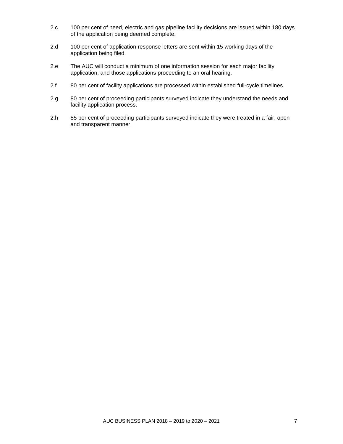- 2.c 100 per cent of need, electric and gas pipeline facility decisions are issued within 180 days of the application being deemed complete.
- 2.d 100 per cent of application response letters are sent within 15 working days of the application being filed.
- 2.e The AUC will conduct a minimum of one information session for each major facility application, and those applications proceeding to an oral hearing.
- 2.f 80 per cent of facility applications are processed within established full-cycle timelines.
- 2.g 80 per cent of proceeding participants surveyed indicate they understand the needs and facility application process.
- 2.h 85 per cent of proceeding participants surveyed indicate they were treated in a fair, open and transparent manner.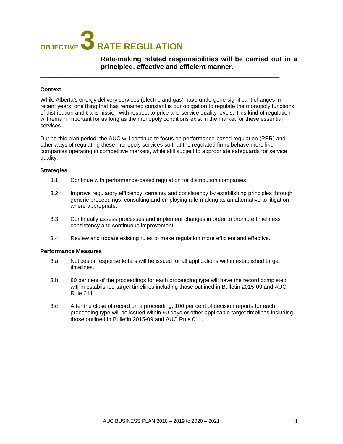## **OBJECTIVE 3 RATE REGULATION**

**Rate-making related responsibilities will be carried out in a principled, effective and efficient manner.**

#### **Context**

While Alberta's energy delivery services (electric and gas) have undergone significant changes in recent years, one thing that has remained constant is our obligation to regulate the monopoly functions of distribution and transmission with respect to price and service quality levels. This kind of regulation will remain important for as long as the monopoly conditions exist in the market for these essential services.

**\_\_\_\_\_\_\_\_\_\_\_\_\_\_\_\_\_\_\_\_\_\_\_\_\_\_\_\_\_\_\_\_\_\_\_\_\_\_\_\_\_\_\_\_\_\_\_\_\_\_\_\_\_\_\_\_\_\_\_\_\_\_\_\_**

During this plan period, the AUC will continue to focus on performance-based regulation (PBR) and other ways of regulating these monopoly services so that the regulated firms behave more like companies operating in competitive markets, while still subject to appropriate safeguards for service quality.

#### **Strategies**

- 3.1 Continue with performance-based regulation for distribution companies.
- 3.2 Improve regulatory efficiency, certainty and consistency by establishing principles through generic proceedings, consulting and employing rule-making as an alternative to litigation where appropriate.
- 3.3 Continually assess processes and implement changes in order to promote timeliness consistency and continuous improvement.
- 3.4 Review and update existing rules to make regulation more efficient and effective.

- 3.a Notices or response letters will be issued for all applications within established target timelines.
- 3.b 80 per cent of the proceedings for each proceeding type will have the record completed within established target timelines including those outlined in Bulletin 2015-09 and AUC Rule 011.
- 3.c After the close of record on a proceeding, 100 per cent of decision reports for each proceeding type will be issued within 90 days or other applicable target timelines including those outlined in Bulletin 2015-09 and AUC Rule 011.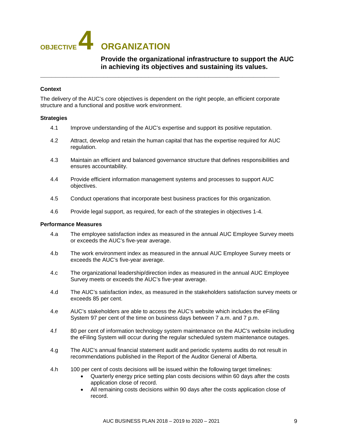## **OBJECTIVE 4 ORGANIZATION**

#### **Provide the organizational infrastructure to support the AUC in achieving its objectives and sustaining its values.**

#### **Context**

The delivery of the AUC's core objectives is dependent on the right people, an efficient corporate structure and a functional and positive work environment.

**\_\_\_\_\_\_\_\_\_\_\_\_\_\_\_\_\_\_\_\_\_\_\_\_\_\_\_\_\_\_\_\_\_\_\_\_\_\_\_\_\_\_\_\_\_\_\_\_\_\_\_\_\_\_\_\_\_\_\_\_\_\_\_\_**

#### **Strategies**

- 4.1 Improve understanding of the AUC's expertise and support its positive reputation.
- 4.2 Attract, develop and retain the human capital that has the expertise required for AUC regulation.
- 4.3 Maintain an efficient and balanced governance structure that defines responsibilities and ensures accountability.
- 4.4 Provide efficient information management systems and processes to support AUC objectives.
- 4.5 Conduct operations that incorporate best business practices for this organization.
- 4.6 Provide legal support, as required, for each of the strategies in objectives 1-4.

- 4.a The employee satisfaction index as measured in the annual AUC Employee Survey meets or exceeds the AUC's five-year average.
- 4.b The work environment index as measured in the annual AUC Employee Survey meets or exceeds the AUC's five-year average.
- 4.c The organizational leadership/direction index as measured in the annual AUC Employee Survey meets or exceeds the AUC's five-year average.
- 4.d The AUC's satisfaction index, as measured in the stakeholders satisfaction survey meets or exceeds 85 per cent.
- 4.e AUC's stakeholders are able to access the AUC's website which includes the eFiling System 97 per cent of the time on business days between 7 a.m. and 7 p.m.
- 4.f 80 per cent of information technology system maintenance on the AUC's website including the eFiling System will occur during the regular scheduled system maintenance outages.
- 4.g The AUC's annual financial statement audit and periodic systems audits do not result in recommendations published in the Report of the Auditor General of Alberta.
- 4.h 100 per cent of costs decisions will be issued within the following target timelines:
	- Quarterly energy price setting plan costs decisions within 60 days after the costs application close of record.
	- All remaining costs decisions within 90 days after the costs application close of record.